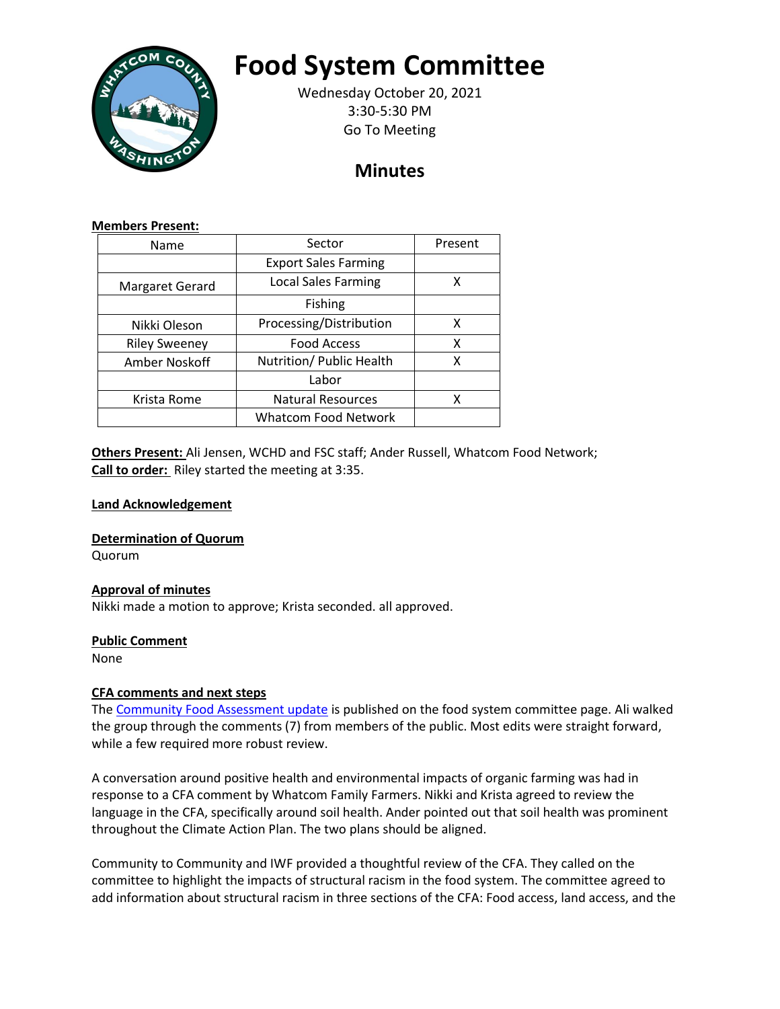

# **Food System Committee**

Wednesday October 20, 2021 3:30-5:30 PM Go To Meeting

## **Minutes**

#### **Members Present:**

| Name                 | Sector                      | Present |
|----------------------|-----------------------------|---------|
|                      | <b>Export Sales Farming</b> |         |
| Margaret Gerard      | <b>Local Sales Farming</b>  | χ       |
|                      | Fishing                     |         |
| Nikki Oleson         | Processing/Distribution     | x       |
| <b>Riley Sweeney</b> | <b>Food Access</b>          | x       |
| Amber Noskoff        | Nutrition/ Public Health    | х       |
|                      | Labor                       |         |
| Krista Rome          | <b>Natural Resources</b>    | x       |
|                      | <b>Whatcom Food Network</b> |         |

**Others Present:** Ali Jensen, WCHD and FSC staff; Ander Russell, Whatcom Food Network; **Call to order:** Riley started the meeting at 3:35.

### **Land Acknowledgement**

**Determination of Quorum**

Quorum

#### **Approval of minutes**

Nikki made a motion to approve; Krista seconded. all approved.

#### **Public Comment**

None

#### **CFA comments and next steps**

The [Community Food Assessment update](https://www.whatcomcounty.us/DocumentCenter/View/59394/Community-Food-Assessment-Draft-2021) is published on the food system committee page. Ali walked the group through the comments (7) from members of the public. Most edits were straight forward, while a few required more robust review.

A conversation around positive health and environmental impacts of organic farming was had in response to a CFA comment by Whatcom Family Farmers. Nikki and Krista agreed to review the language in the CFA, specifically around soil health. Ander pointed out that soil health was prominent throughout the Climate Action Plan. The two plans should be aligned.

Community to Community and IWF provided a thoughtful review of the CFA. They called on the committee to highlight the impacts of structural racism in the food system. The committee agreed to add information about structural racism in three sections of the CFA: Food access, land access, and the